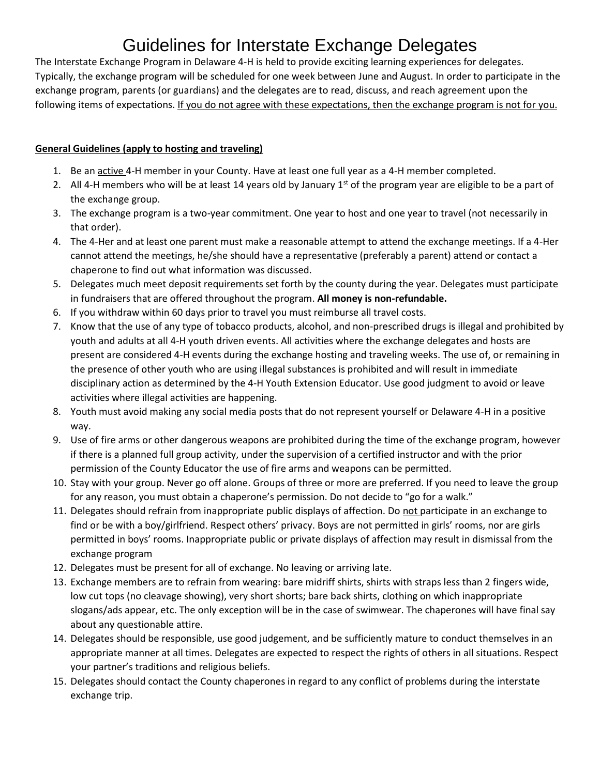# Guidelines for Interstate Exchange Delegates

The Interstate Exchange Program in Delaware 4-H is held to provide exciting learning experiences for delegates. Typically, the exchange program will be scheduled for one week between June and August. In order to participate in the exchange program, parents (or guardians) and the delegates are to read, discuss, and reach agreement upon the following items of expectations. If you do not agree with these expectations, then the exchange program is not for you.

## **General Guidelines (apply to hosting and traveling)**

- 1. Be an active 4-H member in your County. Have at least one full year as a 4-H member completed.
- 2. All 4-H members who will be at least 14 years old by January  $1<sup>st</sup>$  of the program year are eligible to be a part of the exchange group.
- 3. The exchange program is a two-year commitment. One year to host and one year to travel (not necessarily in that order).
- 4. The 4-Her and at least one parent must make a reasonable attempt to attend the exchange meetings. If a 4-Her cannot attend the meetings, he/she should have a representative (preferably a parent) attend or contact a chaperone to find out what information was discussed.
- 5. Delegates much meet deposit requirements set forth by the county during the year. Delegates must participate in fundraisers that are offered throughout the program. **All money is non-refundable.**
- 6. If you withdraw within 60 days prior to travel you must reimburse all travel costs.
- 7. Know that the use of any type of tobacco products, alcohol, and non-prescribed drugs is illegal and prohibited by youth and adults at all 4-H youth driven events. All activities where the exchange delegates and hosts are present are considered 4-H events during the exchange hosting and traveling weeks. The use of, or remaining in the presence of other youth who are using illegal substances is prohibited and will result in immediate disciplinary action as determined by the 4-H Youth Extension Educator. Use good judgment to avoid or leave activities where illegal activities are happening.
- 8. Youth must avoid making any social media posts that do not represent yourself or Delaware 4-H in a positive way.
- 9. Use of fire arms or other dangerous weapons are prohibited during the time of the exchange program, however if there is a planned full group activity, under the supervision of a certified instructor and with the prior permission of the County Educator the use of fire arms and weapons can be permitted.
- 10. Stay with your group. Never go off alone. Groups of three or more are preferred. If you need to leave the group for any reason, you must obtain a chaperone's permission. Do not decide to "go for a walk."
- 11. Delegates should refrain from inappropriate public displays of affection. Do not participate in an exchange to find or be with a boy/girlfriend. Respect others' privacy. Boys are not permitted in girls' rooms, nor are girls permitted in boys' rooms. Inappropriate public or private displays of affection may result in dismissal from the exchange program
- 12. Delegates must be present for all of exchange. No leaving or arriving late.
- 13. Exchange members are to refrain from wearing: bare midriff shirts, shirts with straps less than 2 fingers wide, low cut tops (no cleavage showing), very short shorts; bare back shirts, clothing on which inappropriate slogans/ads appear, etc. The only exception will be in the case of swimwear. The chaperones will have final say about any questionable attire.
- 14. Delegates should be responsible, use good judgement, and be sufficiently mature to conduct themselves in an appropriate manner at all times. Delegates are expected to respect the rights of others in all situations. Respect your partner's traditions and religious beliefs.
- 15. Delegates should contact the County chaperones in regard to any conflict of problems during the interstate exchange trip.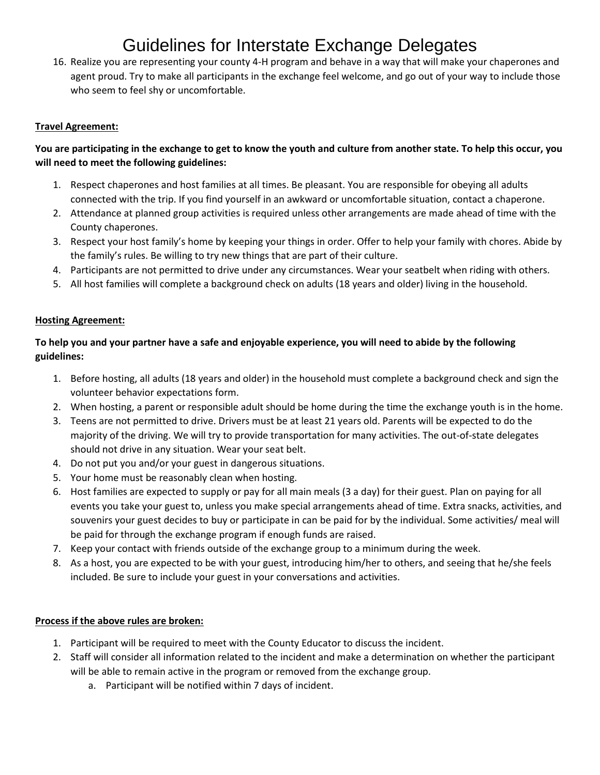## Guidelines for Interstate Exchange Delegates

16. Realize you are representing your county 4-H program and behave in a way that will make your chaperones and agent proud. Try to make all participants in the exchange feel welcome, and go out of your way to include those who seem to feel shy or uncomfortable.

#### **Travel Agreement:**

### **You are participating in the exchange to get to know the youth and culture from another state. To help this occur, you will need to meet the following guidelines:**

- 1. Respect chaperones and host families at all times. Be pleasant. You are responsible for obeying all adults connected with the trip. If you find yourself in an awkward or uncomfortable situation, contact a chaperone.
- 2. Attendance at planned group activities is required unless other arrangements are made ahead of time with the County chaperones.
- 3. Respect your host family's home by keeping your things in order. Offer to help your family with chores. Abide by the family's rules. Be willing to try new things that are part of their culture.
- 4. Participants are not permitted to drive under any circumstances. Wear your seatbelt when riding with others.
- 5. All host families will complete a background check on adults (18 years and older) living in the household.

#### **Hosting Agreement:**

## **To help you and your partner have a safe and enjoyable experience, you will need to abide by the following guidelines:**

- 1. Before hosting, all adults (18 years and older) in the household must complete a background check and sign the volunteer behavior expectations form.
- 2. When hosting, a parent or responsible adult should be home during the time the exchange youth is in the home.
- 3. Teens are not permitted to drive. Drivers must be at least 21 years old. Parents will be expected to do the majority of the driving. We will try to provide transportation for many activities. The out-of-state delegates should not drive in any situation. Wear your seat belt.
- 4. Do not put you and/or your guest in dangerous situations.
- 5. Your home must be reasonably clean when hosting.
- 6. Host families are expected to supply or pay for all main meals (3 a day) for their guest. Plan on paying for all events you take your guest to, unless you make special arrangements ahead of time. Extra snacks, activities, and souvenirs your guest decides to buy or participate in can be paid for by the individual. Some activities/ meal will be paid for through the exchange program if enough funds are raised.
- 7. Keep your contact with friends outside of the exchange group to a minimum during the week.
- 8. As a host, you are expected to be with your guest, introducing him/her to others, and seeing that he/she feels included. Be sure to include your guest in your conversations and activities.

#### **Process if the above rules are broken:**

- 1. Participant will be required to meet with the County Educator to discuss the incident.
- 2. Staff will consider all information related to the incident and make a determination on whether the participant will be able to remain active in the program or removed from the exchange group.
	- a. Participant will be notified within 7 days of incident.